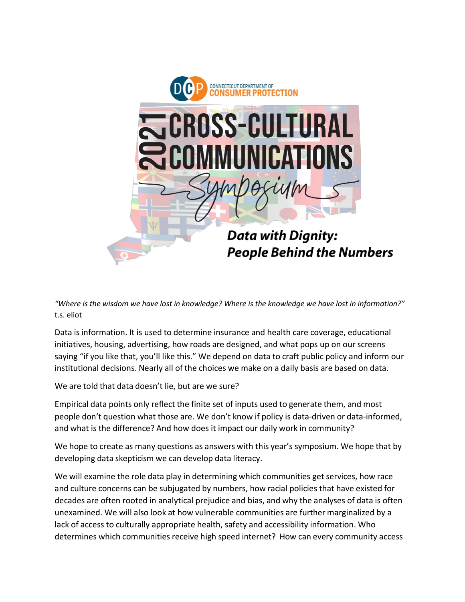

"Where is the wisdom we have lost in knowledge? Where is the knowledge we have lost in information?" t.s. eliot

Data is information. It is used to determine insurance and health care coverage, educational initiatives, housing, advertising, how roads are designed, and what pops up on our screens saying "if you like that, you'll like this." We depend on data to craft public policy and inform our institutional decisions. Nearly all of the choices we make on a daily basis are based on data.

We are told that data doesn't lie, but are we sure?

Empirical data points only reflect the finite set of inputs used to generate them, and most people don't question what those are. We don't know if policy is data-driven or data-informed, and what is the difference? And how does it impact our daily work in community?

We hope to create as many questions as answers with this year's symposium. We hope that by developing data skepticism we can develop data literacy.

We will examine the role data play in determining which communities get services, how race and culture concerns can be subjugated by numbers, how racial policies that have existed for decades are often rooted in analytical prejudice and bias, and why the analyses of data is often unexamined. We will also look at how vulnerable communities are further marginalized by a lack of access to culturally appropriate health, safety and accessibility information. Who determines which communities receive high speed internet? How can every community access